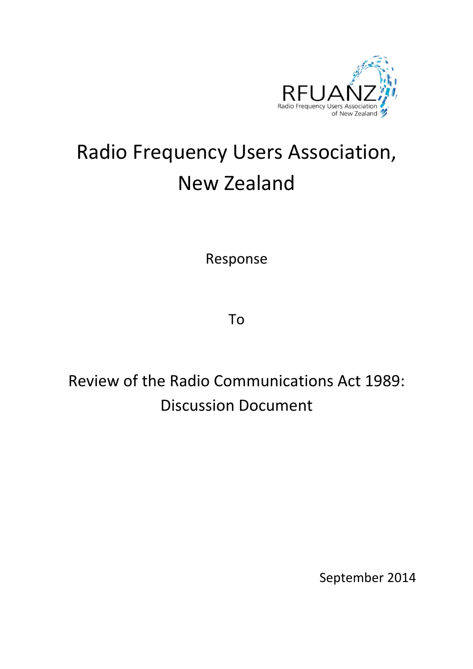

# Radio Frequency Users Association, New Zealand

Response

To

Review of the Radio Communications Act 1989: Discussion Document

September 2014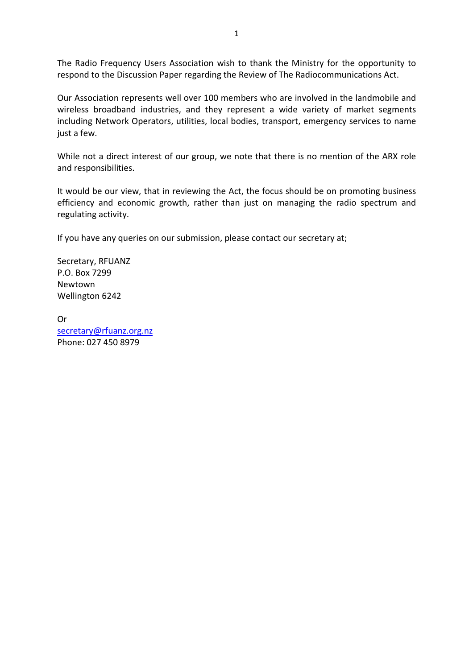The Radio Frequency Users Association wish to thank the Ministry for the opportunity to respond to the Discussion Paper regarding the Review of The Radiocommunications Act.

Our Association represents well over 100 members who are involved in the landmobile and wireless broadband industries, and they represent a wide variety of market segments including Network Operators, utilities, local bodies, transport, emergency services to name just a few.

While not a direct interest of our group, we note that there is no mention of the ARX role and responsibilities.

It would be our view, that in reviewing the Act, the focus should be on promoting business efficiency and economic growth, rather than just on managing the radio spectrum and regulating activity.

If you have any queries on our submission, please contact our secretary at;

Secretary, RFUANZ P.O. Box 7299 Newtown Wellington 6242

Or secretary@rfuanz.org.nz Phone: 027 450 8979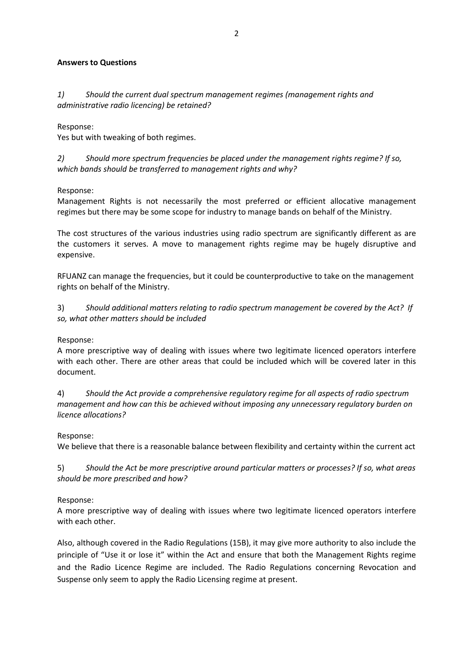#### **Answers to Questions**

*1) Should the current dual spectrum management regimes (management rights and administrative radio licencing) be retained?* 

Response:

Yes but with tweaking of both regimes.

*2) Should more spectrum frequencies be placed under the management rights regime? If so, which bands should be transferred to management rights and why?* 

Response:

Management Rights is not necessarily the most preferred or efficient allocative management regimes but there may be some scope for industry to manage bands on behalf of the Ministry.

The cost structures of the various industries using radio spectrum are significantly different as are the customers it serves. A move to management rights regime may be hugely disruptive and expensive.

RFUANZ can manage the frequencies, but it could be counterproductive to take on the management rights on behalf of the Ministry.

3) *Should additional matters relating to radio spectrum management be covered by the Act? If so, what other matters should be included* 

Response:

A more prescriptive way of dealing with issues where two legitimate licenced operators interfere with each other. There are other areas that could be included which will be covered later in this document.

4) *Should the Act provide a comprehensive regulatory regime for all aspects of radio spectrum management and how can this be achieved without imposing any unnecessary regulatory burden on licence allocations?* 

Response:

We believe that there is a reasonable balance between flexibility and certainty within the current act

5) *Should the Act be more prescriptive around particular matters or processes? If so, what areas should be more prescribed and how?* 

Response:

A more prescriptive way of dealing with issues where two legitimate licenced operators interfere with each other.

Also, although covered in the Radio Regulations (15B), it may give more authority to also include the principle of "Use it or lose it" within the Act and ensure that both the Management Rights regime and the Radio Licence Regime are included. The Radio Regulations concerning Revocation and Suspense only seem to apply the Radio Licensing regime at present.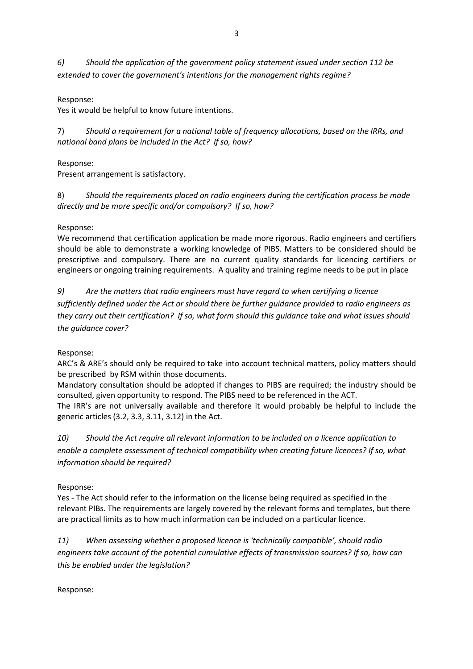*6) Should the application of the government policy statement issued under section 112 be extended to cover the government's intentions for the management rights regime?* 

Response:

Yes it would be helpful to know future intentions.

7) *Should a requirement for a national table of frequency allocations, based on the IRRs, and national band plans be included in the Act? If so, how?*

# Response:

Present arrangement is satisfactory.

8) *Should the requirements placed on radio engineers during the certification process be made directly and be more specific and/or compulsory? If so, how?* 

#### Response:

We recommend that certification application be made more rigorous. Radio engineers and certifiers should be able to demonstrate a working knowledge of PIBS. Matters to be considered should be prescriptive and compulsory. There are no current quality standards for licencing certifiers or engineers or ongoing training requirements. A quality and training regime needs to be put in place

*9) Are the matters that radio engineers must have regard to when certifying a licence sufficiently defined under the Act or should there be further guidance provided to radio engineers as they carry out their certification? If so, what form should this guidance take and what issues should the guidance cover?* 

#### Response:

ARC's & ARE's should only be required to take into account technical matters, policy matters should be prescribed by RSM within those documents.

Mandatory consultation should be adopted if changes to PIBS are required; the industry should be consulted, given opportunity to respond. The PIBS need to be referenced in the ACT. The IRR's are not universally available and therefore it would probably be helpful to include the generic articles (3.2, 3.3, 3.11, 3.12) in the Act.

*10) Should the Act require all relevant information to be included on a licence application to enable a complete assessment of technical compatibility when creating future licences? If so, what information should be required?* 

#### Response:

Yes - The Act should refer to the information on the license being required as specified in the relevant PIBs. The requirements are largely covered by the relevant forms and templates, but there are practical limits as to how much information can be included on a particular licence.

*11) When assessing whether a proposed licence is 'technically compatible', should radio engineers take account of the potential cumulative effects of transmission sources? If so, how can this be enabled under the legislation?*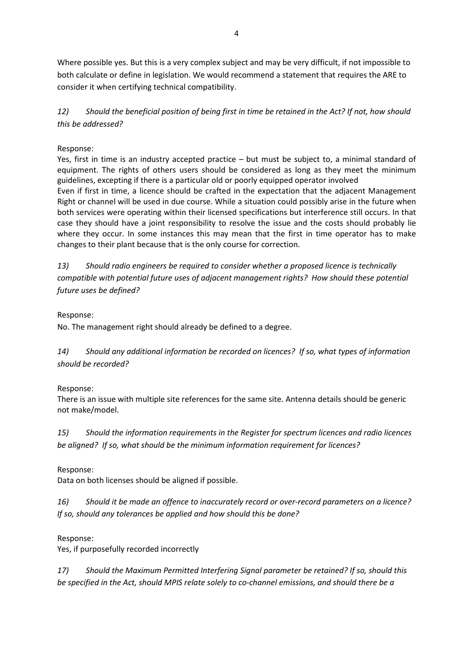Where possible yes. But this is a very complex subject and may be very difficult, if not impossible to both calculate or define in legislation. We would recommend a statement that requires the ARE to consider it when certifying technical compatibility.

*12) Should the beneficial position of being first in time be retained in the Act? If not, how should this be addressed?* 

# Response:

Yes, first in time is an industry accepted practice – but must be subject to, a minimal standard of equipment. The rights of others users should be considered as long as they meet the minimum guidelines, excepting if there is a particular old or poorly equipped operator involved Even if first in time, a licence should be crafted in the expectation that the adjacent Management Right or channel will be used in due course. While a situation could possibly arise in the future when both services were operating within their licensed specifications but interference still occurs. In that case they should have a joint responsibility to resolve the issue and the costs should probably lie where they occur. In some instances this may mean that the first in time operator has to make changes to their plant because that is the only course for correction.

*13) Should radio engineers be required to consider whether a proposed licence is technically compatible with potential future uses of adjacent management rights? How should these potential future uses be defined?* 

# Response:

No. The management right should already be defined to a degree.

*14) Should any additional information be recorded on licences? If so, what types of information should be recorded?* 

#### Response:

There is an issue with multiple site references for the same site. Antenna details should be generic not make/model.

*15) Should the information requirements in the Register for spectrum licences and radio licences be aligned? If so, what should be the minimum information requirement for licences?* 

Response:

Data on both licenses should be aligned if possible.

*16) Should it be made an offence to inaccurately record or over-record parameters on a licence? If so, should any tolerances be applied and how should this be done?* 

#### Response:

Yes, if purposefully recorded incorrectly

*17) Should the Maximum Permitted Interfering Signal parameter be retained? If so, should this be specified in the Act, should MPIS relate solely to co-channel emissions, and should there be a*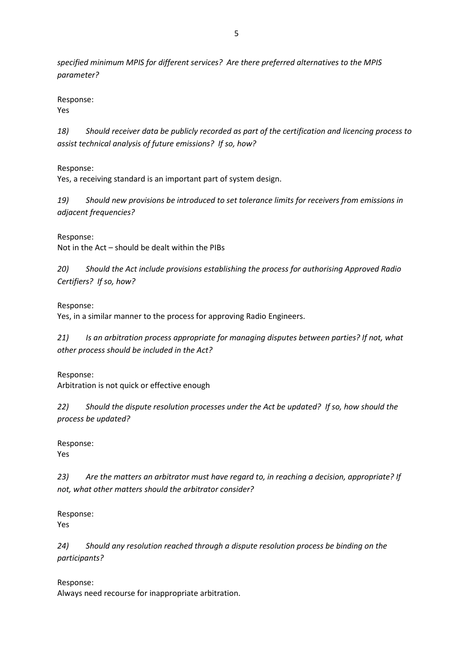*specified minimum MPIS for different services? Are there preferred alternatives to the MPIS parameter?* 

Response:

Yes

*18) Should receiver data be publicly recorded as part of the certification and licencing process to assist technical analysis of future emissions? If so, how?* 

Response:

Yes, a receiving standard is an important part of system design.

*19) Should new provisions be introduced to set tolerance limits for receivers from emissions in adjacent frequencies?* 

Response:

Not in the Act – should be dealt within the PIBs

*20) Should the Act include provisions establishing the process for authorising Approved Radio Certifiers? If so, how?* 

Response:

Yes, in a similar manner to the process for approving Radio Engineers.

*21) Is an arbitration process appropriate for managing disputes between parties? If not, what other process should be included in the Act?* 

Response:

Arbitration is not quick or effective enough

*22) Should the dispute resolution processes under the Act be updated? If so, how should the process be updated?* 

Response:

Yes

*23) Are the matters an arbitrator must have regard to, in reaching a decision, appropriate? If not, what other matters should the arbitrator consider?* 

Response: Yes

*24) Should any resolution reached through a dispute resolution process be binding on the participants?* 

Response: Always need recourse for inappropriate arbitration.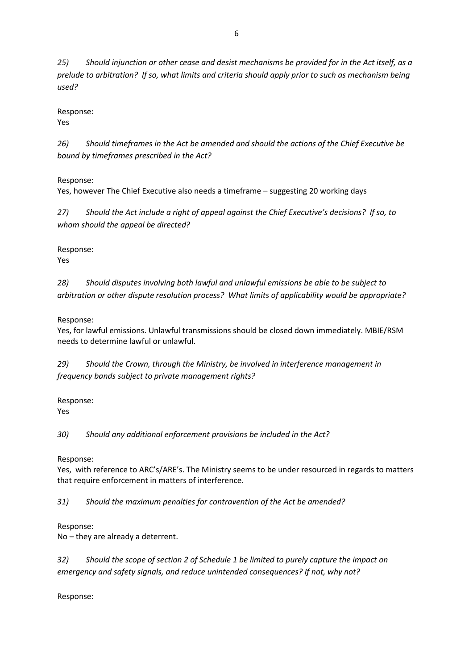*25) Should injunction or other cease and desist mechanisms be provided for in the Act itself, as a prelude to arbitration? If so, what limits and criteria should apply prior to such as mechanism being used?* 

Response:

Yes

*26) Should timeframes in the Act be amended and should the actions of the Chief Executive be bound by timeframes prescribed in the Act?* 

Response:

Yes, however The Chief Executive also needs a timeframe – suggesting 20 working days

*27) Should the Act include a right of appeal against the Chief Executive's decisions? If so, to whom should the appeal be directed?* 

Response: Yes

*28) Should disputes involving both lawful and unlawful emissions be able to be subject to arbitration or other dispute resolution process? What limits of applicability would be appropriate?* 

Response:

Yes, for lawful emissions. Unlawful transmissions should be closed down immediately. MBIE/RSM needs to determine lawful or unlawful.

*29) Should the Crown, through the Ministry, be involved in interference management in frequency bands subject to private management rights?* 

Response:

Yes

*30) Should any additional enforcement provisions be included in the Act?* 

Response:

Yes, with reference to ARC's/ARE's. The Ministry seems to be under resourced in regards to matters that require enforcement in matters of interference.

*31) Should the maximum penalties for contravention of the Act be amended?* 

Response:

No – they are already a deterrent.

*32) Should the scope of section 2 of Schedule 1 be limited to purely capture the impact on emergency and safety signals, and reduce unintended consequences? If not, why not?*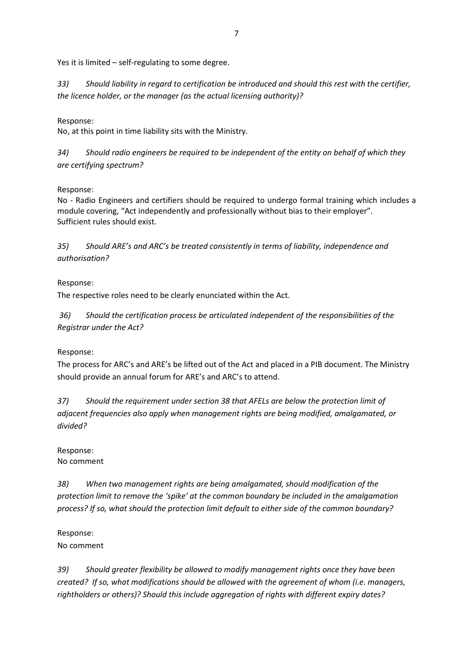Yes it is limited – self-regulating to some degree.

*33) Should liability in regard to certification be introduced and should this rest with the certifier, the licence holder, or the manager (as the actual licensing authority)?* 

## Response:

No, at this point in time liability sits with the Ministry.

*34) Should radio engineers be required to be independent of the entity on behalf of which they are certifying spectrum?* 

#### Response:

No - Radio Engineers and certifiers should be required to undergo formal training which includes a module covering, "Act independently and professionally without bias to their employer". Sufficient rules should exist.

*35) Should ARE's and ARC's be treated consistently in terms of liability, independence and authorisation?* 

Response:

The respective roles need to be clearly enunciated within the Act.

 *36) Should the certification process be articulated independent of the responsibilities of the Registrar under the Act?* 

Response:

The process for ARC's and ARE's be lifted out of the Act and placed in a PIB document. The Ministry should provide an annual forum for ARE's and ARC's to attend.

*37) Should the requirement under section 38 that AFELs are below the protection limit of adjacent frequencies also apply when management rights are being modified, amalgamated, or divided?* 

Response: No comment

*38) When two management rights are being amalgamated, should modification of the protection limit to remove the 'spike' at the common boundary be included in the amalgamation process? If so, what should the protection limit default to either side of the common boundary?* 

Response: No comment

*39) Should greater flexibility be allowed to modify management rights once they have been created? If so, what modifications should be allowed with the agreement of whom (i.e. managers, rightholders or others)? Should this include aggregation of rights with different expiry dates?*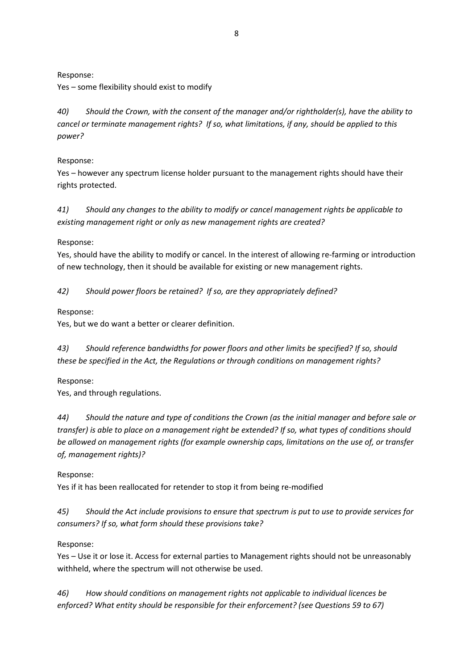Response:

Yes – some flexibility should exist to modify

*40) Should the Crown, with the consent of the manager and/or rightholder(s), have the ability to cancel or terminate management rights? If so, what limitations, if any, should be applied to this power?* 

Response:

Yes – however any spectrum license holder pursuant to the management rights should have their rights protected.

*41) Should any changes to the ability to modify or cancel management rights be applicable to existing management right or only as new management rights are created?* 

Response:

Yes, should have the ability to modify or cancel. In the interest of allowing re-farming or introduction of new technology, then it should be available for existing or new management rights.

*42) Should power floors be retained? If so, are they appropriately defined?* 

#### Response:

Yes, but we do want a better or clearer definition.

*43) Should reference bandwidths for power floors and other limits be specified? If so, should these be specified in the Act, the Regulations or through conditions on management rights?* 

Response:

Yes, and through regulations.

*44) Should the nature and type of conditions the Crown (as the initial manager and before sale or transfer) is able to place on a management right be extended? If so, what types of conditions should be allowed on management rights (for example ownership caps, limitations on the use of, or transfer of, management rights)?* 

Response:

Yes if it has been reallocated for retender to stop it from being re-modified

*45) Should the Act include provisions to ensure that spectrum is put to use to provide services for consumers? If so, what form should these provisions take?* 

#### Response:

Yes – Use it or lose it. Access for external parties to Management rights should not be unreasonably withheld, where the spectrum will not otherwise be used.

*46) How should conditions on management rights not applicable to individual licences be enforced? What entity should be responsible for their enforcement? (see Questions 59 to 67)*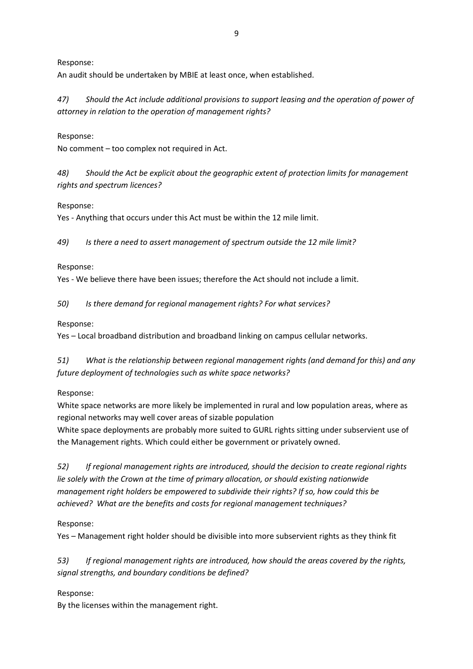Response:

An audit should be undertaken by MBIE at least once, when established.

*47) Should the Act include additional provisions to support leasing and the operation of power of attorney in relation to the operation of management rights?* 

Response:

No comment – too complex not required in Act.

*48) Should the Act be explicit about the geographic extent of protection limits for management rights and spectrum licences?* 

Response:

Yes - Anything that occurs under this Act must be within the 12 mile limit.

*49) Is there a need to assert management of spectrum outside the 12 mile limit?* 

Response:

Yes - We believe there have been issues; therefore the Act should not include a limit.

*50) Is there demand for regional management rights? For what services?* 

Response:

Yes – Local broadband distribution and broadband linking on campus cellular networks.

*51) What is the relationship between regional management rights (and demand for this) and any future deployment of technologies such as white space networks?* 

Response:

White space networks are more likely be implemented in rural and low population areas, where as regional networks may well cover areas of sizable population

White space deployments are probably more suited to GURL rights sitting under subservient use of the Management rights. Which could either be government or privately owned.

*52) If regional management rights are introduced, should the decision to create regional rights lie solely with the Crown at the time of primary allocation, or should existing nationwide management right holders be empowered to subdivide their rights? If so, how could this be achieved? What are the benefits and costs for regional management techniques?* 

Response:

Yes – Management right holder should be divisible into more subservient rights as they think fit

*53) If regional management rights are introduced, how should the areas covered by the rights, signal strengths, and boundary conditions be defined?* 

Response:

By the licenses within the management right.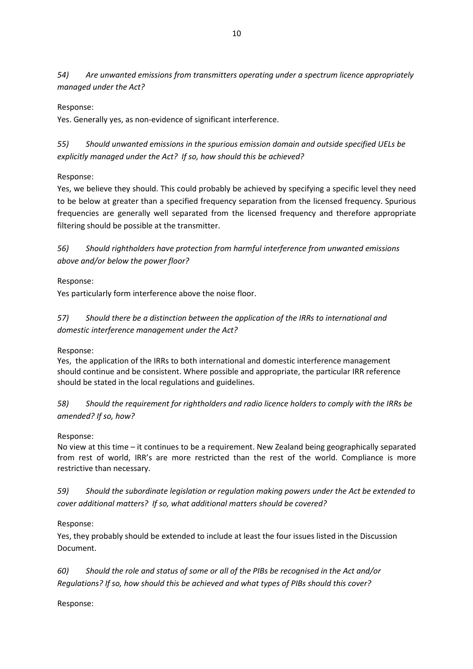*54) Are unwanted emissions from transmitters operating under a spectrum licence appropriately managed under the Act?* 

# Response:

Yes. Generally yes, as non-evidence of significant interference.

*55) Should unwanted emissions in the spurious emission domain and outside specified UELs be explicitly managed under the Act? If so, how should this be achieved?* 

# Response:

Yes, we believe they should. This could probably be achieved by specifying a specific level they need to be below at greater than a specified frequency separation from the licensed frequency. Spurious frequencies are generally well separated from the licensed frequency and therefore appropriate filtering should be possible at the transmitter.

*56) Should rightholders have protection from harmful interference from unwanted emissions above and/or below the power floor?* 

# Response:

Yes particularly form interference above the noise floor.

# *57) Should there be a distinction between the application of the IRRs to international and domestic interference management under the Act?*

#### Response:

Yes, the application of the IRRs to both international and domestic interference management should continue and be consistent. Where possible and appropriate, the particular IRR reference should be stated in the local regulations and guidelines.

*58) Should the requirement for rightholders and radio licence holders to comply with the IRRs be amended? If so, how?* 

#### Response:

No view at this time – it continues to be a requirement. New Zealand being geographically separated from rest of world, IRR's are more restricted than the rest of the world. Compliance is more restrictive than necessary.

*59) Should the subordinate legislation or regulation making powers under the Act be extended to cover additional matters? If so, what additional matters should be covered?* 

#### Response:

Yes, they probably should be extended to include at least the four issues listed in the Discussion Document.

*60) Should the role and status of some or all of the PIBs be recognised in the Act and/or Regulations? If so, how should this be achieved and what types of PIBs should this cover?*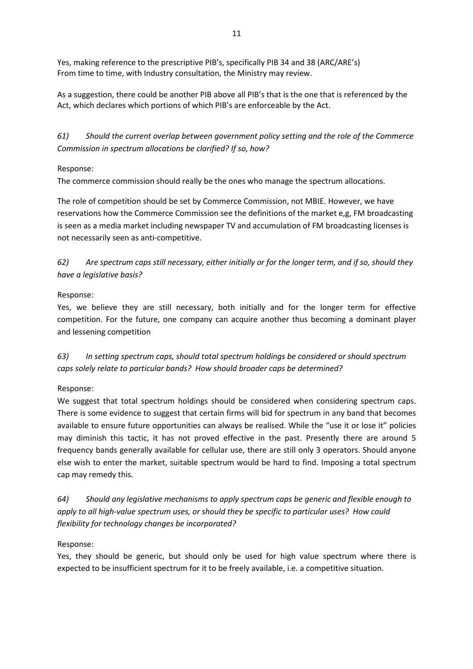Yes, making reference to the prescriptive PIB's, specifically PIB 34 and 38 (ARC/ARE's) From time to time, with Industry consultation, the Ministry may review.

As a suggestion, there could be another PIB above all PIB's that is the one that is referenced by the Act, which declares which portions of which PIB's are enforceable by the Act.

*61) Should the current overlap between government policy setting and the role of the Commerce Commission in spectrum allocations be clarified? If so, how?* 

#### Response:

The commerce commission should really be the ones who manage the spectrum allocations.

The role of competition should be set by Commerce Commission, not MBIE. However, we have reservations how the Commerce Commission see the definitions of the market e,g, FM broadcasting is seen as a media market including newspaper TV and accumulation of FM broadcasting licenses is not necessarily seen as anti-competitive.

*62) Are spectrum caps still necessary, either initially or for the longer term, and if so, should they have a legislative basis?* 

# Response:

Yes, we believe they are still necessary, both initially and for the longer term for effective competition. For the future, one company can acquire another thus becoming a dominant player and lessening competition

*63) In setting spectrum caps, should total spectrum holdings be considered or should spectrum caps solely relate to particular bands? How should broader caps be determined?* 

# Response:

We suggest that total spectrum holdings should be considered when considering spectrum caps. There is some evidence to suggest that certain firms will bid for spectrum in any band that becomes available to ensure future opportunities can always be realised. While the "use it or lose it" policies may diminish this tactic, it has not proved effective in the past. Presently there are around 5 frequency bands generally available for cellular use, there are still only 3 operators. Should anyone else wish to enter the market, suitable spectrum would be hard to find. Imposing a total spectrum cap may remedy this.

*64) Should any legislative mechanisms to apply spectrum caps be generic and flexible enough to apply to all high-value spectrum uses, or should they be specific to particular uses? How could flexibility for technology changes be incorporated?*

#### Response:

Yes, they should be generic, but should only be used for high value spectrum where there is expected to be insufficient spectrum for it to be freely available, i.e. a competitive situation.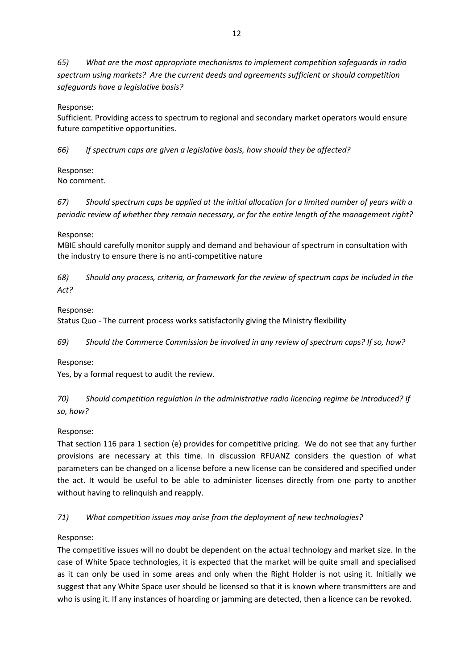*65) What are the most appropriate mechanisms to implement competition safeguards in radio spectrum using markets? Are the current deeds and agreements sufficient or should competition safeguards have a legislative basis?* 

## Response:

Sufficient. Providing access to spectrum to regional and secondary market operators would ensure future competitive opportunities.

*66) If spectrum caps are given a legislative basis, how should they be affected?* 

Response: No comment.

*67) Should spectrum caps be applied at the initial allocation for a limited number of years with a periodic review of whether they remain necessary, or for the entire length of the management right?* 

Response:

MBIE should carefully monitor supply and demand and behaviour of spectrum in consultation with the industry to ensure there is no anti-competitive nature

*68) Should any process, criteria, or framework for the review of spectrum caps be included in the Act?* 

# Response:

Status Quo - The current process works satisfactorily giving the Ministry flexibility

*69) Should the Commerce Commission be involved in any review of spectrum caps? If so, how?* 

Response:

Yes, by a formal request to audit the review.

*70) Should competition regulation in the administrative radio licencing regime be introduced? If so, how?* 

#### Response:

That section 116 para 1 section (e) provides for competitive pricing. We do not see that any further provisions are necessary at this time. In discussion RFUANZ considers the question of what parameters can be changed on a license before a new license can be considered and specified under the act. It would be useful to be able to administer licenses directly from one party to another without having to relinquish and reapply.

# *71) What competition issues may arise from the deployment of new technologies?*

Response:

The competitive issues will no doubt be dependent on the actual technology and market size. In the case of White Space technologies, it is expected that the market will be quite small and specialised as it can only be used in some areas and only when the Right Holder is not using it. Initially we suggest that any White Space user should be licensed so that it is known where transmitters are and who is using it. If any instances of hoarding or jamming are detected, then a licence can be revoked.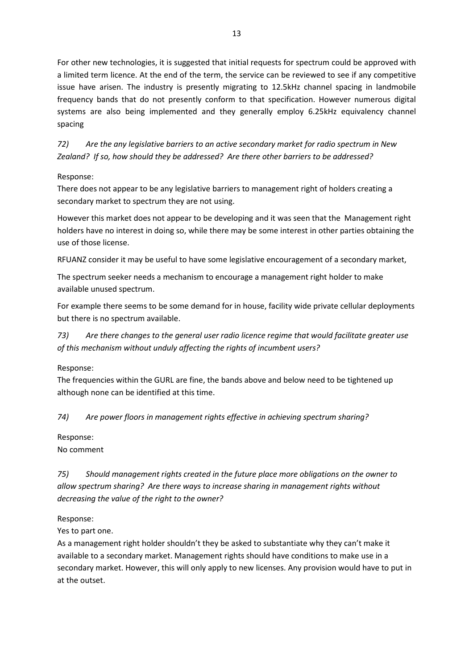For other new technologies, it is suggested that initial requests for spectrum could be approved with a limited term licence. At the end of the term, the service can be reviewed to see if any competitive issue have arisen. The industry is presently migrating to 12.5kHz channel spacing in landmobile frequency bands that do not presently conform to that specification. However numerous digital systems are also being implemented and they generally employ 6.25kHz equivalency channel spacing

*72) Are the any legislative barriers to an active secondary market for radio spectrum in New Zealand? If so, how should they be addressed? Are there other barriers to be addressed?* 

#### Response:

There does not appear to be any legislative barriers to management right of holders creating a secondary market to spectrum they are not using.

However this market does not appear to be developing and it was seen that the Management right holders have no interest in doing so, while there may be some interest in other parties obtaining the use of those license.

RFUANZ consider it may be useful to have some legislative encouragement of a secondary market,

The spectrum seeker needs a mechanism to encourage a management right holder to make available unused spectrum.

For example there seems to be some demand for in house, facility wide private cellular deployments but there is no spectrum available.

*73) Are there changes to the general user radio licence regime that would facilitate greater use of this mechanism without unduly affecting the rights of incumbent users?* 

Response:

The frequencies within the GURL are fine, the bands above and below need to be tightened up although none can be identified at this time.

*74) Are power floors in management rights effective in achieving spectrum sharing?* 

Response: No comment

*75) Should management rights created in the future place more obligations on the owner to allow spectrum sharing? Are there ways to increase sharing in management rights without decreasing the value of the right to the owner?* 

# Response:

Yes to part one.

As a management right holder shouldn't they be asked to substantiate why they can't make it available to a secondary market. Management rights should have conditions to make use in a secondary market. However, this will only apply to new licenses. Any provision would have to put in at the outset.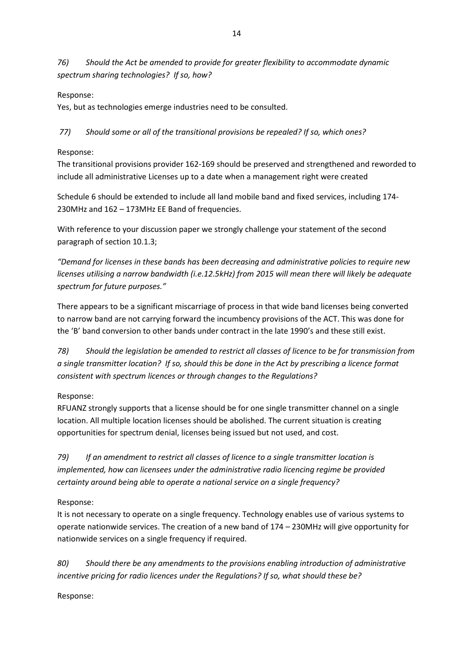*76) Should the Act be amended to provide for greater flexibility to accommodate dynamic spectrum sharing technologies? If so, how?* 

#### Response:

Yes, but as technologies emerge industries need to be consulted.

 *77) Should some or all of the transitional provisions be repealed? If so, which ones?* 

#### Response:

The transitional provisions provider 162-169 should be preserved and strengthened and reworded to include all administrative Licenses up to a date when a management right were created

Schedule 6 should be extended to include all land mobile band and fixed services, including 174- 230MHz and 162 – 173MHz EE Band of frequencies.

With reference to your discussion paper we strongly challenge your statement of the second paragraph of section 10.1.3;

*"Demand for licenses in these bands has been decreasing and administrative policies to require new licenses utilising a narrow bandwidth (i.e.12.5kHz) from 2015 will mean there will likely be adequate spectrum for future purposes."* 

There appears to be a significant miscarriage of process in that wide band licenses being converted to narrow band are not carrying forward the incumbency provisions of the ACT. This was done for the 'B' band conversion to other bands under contract in the late 1990's and these still exist.

*78) Should the legislation be amended to restrict all classes of licence to be for transmission from a single transmitter location? If so, should this be done in the Act by prescribing a licence format consistent with spectrum licences or through changes to the Regulations?* 

#### Response:

RFUANZ strongly supports that a license should be for one single transmitter channel on a single location. All multiple location licenses should be abolished. The current situation is creating opportunities for spectrum denial, licenses being issued but not used, and cost.

*79) If an amendment to restrict all classes of licence to a single transmitter location is implemented, how can licensees under the administrative radio licencing regime be provided certainty around being able to operate a national service on a single frequency?* 

#### Response:

It is not necessary to operate on a single frequency. Technology enables use of various systems to operate nationwide services. The creation of a new band of 174 – 230MHz will give opportunity for nationwide services on a single frequency if required.

*80) Should there be any amendments to the provisions enabling introduction of administrative incentive pricing for radio licences under the Regulations? If so, what should these be?*